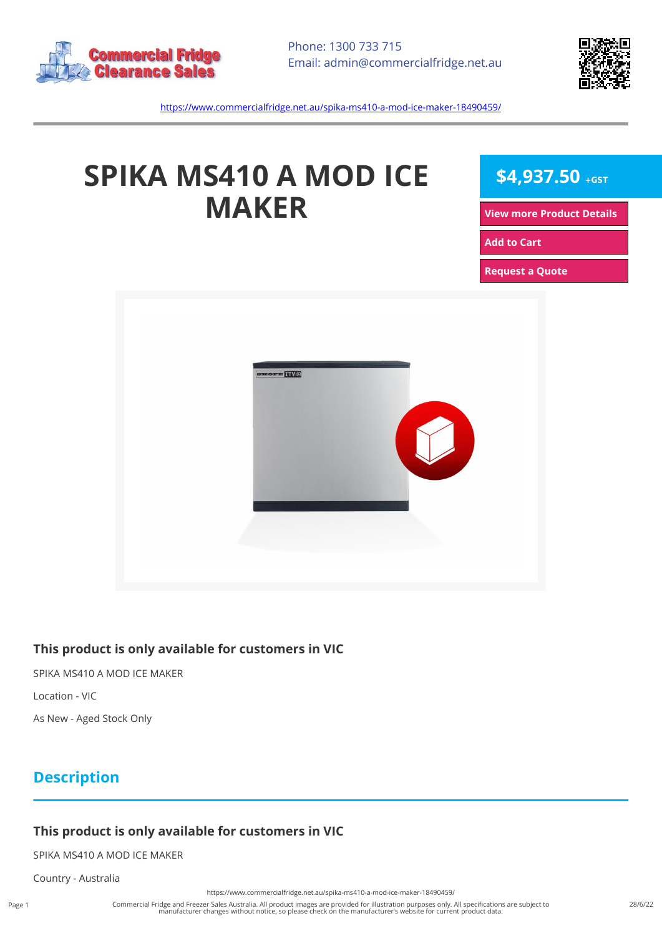



<https://www.commercialfridge.net.au/spika-ms410-a-mod-ice-maker-18490459/>

# **SPIKA MS410 A MOD ICE MAKER**

 $$4,937.50$  +GST

**[View more Product Details](https://www.commercialfridge.net.au/spika-ms410-a-mod-ice-maker-18490459/)**

**[Add to Cart](https://www.commercialfridge.net.au/spika-ms410-a-mod-ice-maker-18490459/?addtocart=1)** 

**[Request a Quote](https://www.commercialfridge.net.au/spika-ms410-a-mod-ice-maker-18490459/?requestaquote=1)** 



#### **This product is only available for customers in VIC**

SPIKA MS410 A MOD ICE MAKER

Location - VIC

As New - Aged Stock Only

## **Description**

### **This product is only available for customers in VIC**

SPIKA MS410 A MOD ICE MAKER

Country - Australia